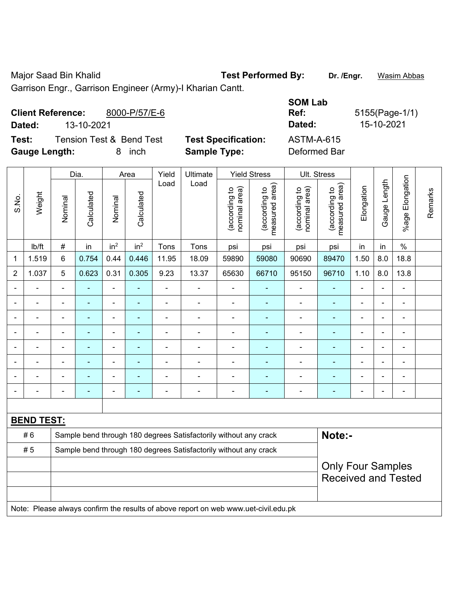Major Saad Bin Khalid **Test Performed By: Dr. /Engr.** Wasim Abbas Garrison Engr., Garrison Engineer (Army)-I Kharian Cantt.

**Client Reference:** 8000-P/57/E-6 **SOM Lab Ref:** 5155(Page-1/1) **Dated:** 13-10-2021 **Dated:** 15-10-2021 **Test:** Tension Test & Bend Test **Test Specification:** ASTM-A-615

**Gauge Length:** 8 inch **Sample Type:** Deformed Bar

|                                                                        |        | Dia.                                                             |                | Area                     |                 | Yield          | Ultimate       |                                | <b>Yield Stress</b><br>Ult. Stress          |                                |                                             |                          |                |                          |         |
|------------------------------------------------------------------------|--------|------------------------------------------------------------------|----------------|--------------------------|-----------------|----------------|----------------|--------------------------------|---------------------------------------------|--------------------------------|---------------------------------------------|--------------------------|----------------|--------------------------|---------|
| S.No.                                                                  | Weight | Nominal                                                          | Calculated     | Nominal                  | Calculated      | Load           | Load           | nominal area)<br>(according to | (according to<br>neasured area)<br>measured | (according to<br>nominal area) | (according to<br>neasured area)<br>measured | Elongation               | Gauge Length   | Elongation<br>$%$ age    | Remarks |
|                                                                        | lb/ft  | $\#$                                                             | in             | in <sup>2</sup>          | in <sup>2</sup> | Tons           | Tons           | psi                            | psi                                         | psi                            | psi                                         | in                       | in             | $\%$                     |         |
| 1                                                                      | 1.519  | 6                                                                | 0.754          | 0.44                     | 0.446           | 11.95          | 18.09          | 59890                          | 59080                                       | 90690                          | 89470                                       | 1.50                     | 8.0            | 18.8                     |         |
| 2                                                                      | 1.037  | 5                                                                | 0.623          | 0.31                     | 0.305           | 9.23           | 13.37          | 65630                          | 66710                                       | 95150                          | 96710                                       | 1.10                     | 8.0            | 13.8                     |         |
|                                                                        |        |                                                                  |                | $\blacksquare$           |                 | ÷              |                |                                |                                             |                                |                                             |                          |                | $\blacksquare$           |         |
|                                                                        |        | $\overline{\phantom{a}}$                                         | $\blacksquare$ | $\blacksquare$           | $\blacksquare$  | ÷.             | ä,             | $\blacksquare$                 | ٠                                           | $\blacksquare$                 | $\blacksquare$                              | L,                       | $\blacksquare$ | $\blacksquare$           |         |
|                                                                        |        | $\blacksquare$                                                   | ÷              | $\blacksquare$           | $\blacksquare$  | ÷              | $\blacksquare$ | $\blacksquare$                 |                                             | ä,                             | $\blacksquare$                              | Ē,                       |                | $\blacksquare$           |         |
|                                                                        |        | $\overline{\phantom{0}}$                                         |                | $\overline{\phantom{0}}$ |                 | ۰              | $\blacksquare$ | $\qquad \qquad \blacksquare$   | ۰                                           |                                | $\blacksquare$                              |                          |                | $\overline{\phantom{0}}$ |         |
|                                                                        |        | $\blacksquare$                                                   |                | $\blacksquare$           |                 | $\blacksquare$ |                | $\blacksquare$                 |                                             | ۰                              | $\blacksquare$                              |                          |                | $\blacksquare$           |         |
|                                                                        |        |                                                                  |                | $\blacksquare$           |                 | $\blacksquare$ |                | $\blacksquare$                 |                                             | ٠                              |                                             | ٠                        |                | $\blacksquare$           |         |
|                                                                        |        | $\blacksquare$                                                   |                | $\overline{\phantom{0}}$ |                 | ۰              | $\blacksquare$ | $\blacksquare$                 | ۰                                           | ٠                              | $\blacksquare$                              | $\blacksquare$           |                | $\overline{\phantom{a}}$ |         |
|                                                                        |        |                                                                  |                | $\blacksquare$           | $\blacksquare$  | -              | $\blacksquare$ | $\overline{\phantom{0}}$       | $\blacksquare$                              |                                | $\blacksquare$                              | $\blacksquare$           |                | $\blacksquare$           |         |
|                                                                        |        |                                                                  |                |                          |                 |                |                |                                |                                             |                                |                                             |                          |                |                          |         |
| <b>BEND TEST:</b>                                                      |        |                                                                  |                |                          |                 |                |                |                                |                                             |                                |                                             |                          |                |                          |         |
| #6<br>Sample bend through 180 degrees Satisfactorily without any crack |        |                                                                  |                |                          |                 |                |                |                                | Note:-                                      |                                |                                             |                          |                |                          |         |
|                                                                        | #5     | Sample bend through 180 degrees Satisfactorily without any crack |                |                          |                 |                |                |                                |                                             |                                |                                             |                          |                |                          |         |
|                                                                        |        |                                                                  |                |                          |                 |                |                |                                |                                             |                                |                                             | <b>Only Four Samples</b> |                |                          |         |
|                                                                        |        |                                                                  |                |                          |                 |                |                |                                |                                             |                                | <b>Received and Tested</b>                  |                          |                |                          |         |
|                                                                        |        |                                                                  |                |                          |                 |                |                |                                |                                             |                                |                                             |                          |                |                          |         |

Note: Please always confirm the results of above report on web www.uet-civil.edu.pk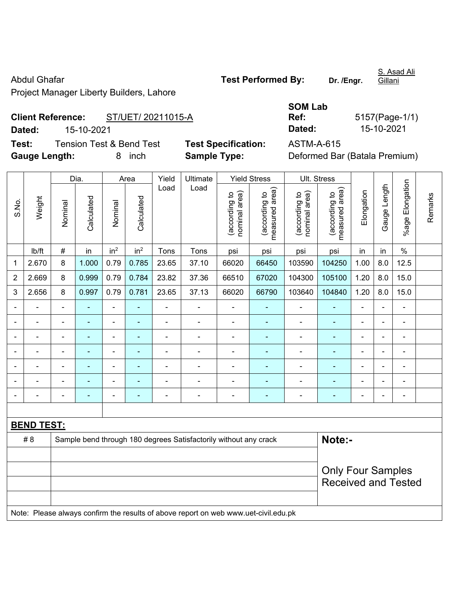Abdul Ghafar **Test Performed By:** Dr. /Engr.

Gillani

Project Manager Liberty Builders, Lahore

## **Client Reference:** ST/UET/ 20211015-A **Dated:** 15-10-2021 **Dated:** 15-10-2021

**Test:** Tension Test & Bend Test **Test Specification:** ASTM-A-615 **Gauge Length:** 8 inch **Sample Type:** Deformed Bar (Batala Premium)

| <b>SOM Lab</b> |                |
|----------------|----------------|
| Ref:           | 5157(Page-1/1) |
| Dated:         | 15-10-2021     |

|                |                   |                |                | Dia.<br>Area    |                 | Yield          | Ultimate                                                                            |                                | <b>Yield Stress</b>             | Ult. Stress                    |                                 |                |                |                          |         |
|----------------|-------------------|----------------|----------------|-----------------|-----------------|----------------|-------------------------------------------------------------------------------------|--------------------------------|---------------------------------|--------------------------------|---------------------------------|----------------|----------------|--------------------------|---------|
| S.No.          | Weight            | Nominal        | Calculated     | Nominal         | Calculated      | Load           | Load                                                                                | (according to<br>nominal area) | (according to<br>measured area) | (according to<br>nominal area) | (according to<br>measured area) | Elongation     | Gauge Length   | %age Elongation          | Remarks |
|                | Ib/ft             | $\#$           | in             | in <sup>2</sup> | in <sup>2</sup> | Tons           | Tons                                                                                | psi                            | psi                             | psi                            | psi                             | in             | in             | $\%$                     |         |
| 1              | 2.670             | 8              | 1.000          | 0.79            | 0.785           | 23.65          | 37.10                                                                               | 66020                          | 66450                           | 103590                         | 104250                          | 1.00           | $8.0\,$        | 12.5                     |         |
| $\overline{2}$ | 2.669             | 8              | 0.999          | 0.79            | 0.784           | 23.82          | 37.36                                                                               | 66510                          | 67020                           | 104300                         | 105100                          | 1.20           | 8.0            | 15.0                     |         |
| 3              | 2.656             | 8              | 0.997          | 0.79            | 0.781           | 23.65          | 37.13                                                                               | 66020                          | 66790                           | 103640                         | 104840                          | 1.20           | 8.0            | 15.0                     |         |
|                |                   | $\blacksquare$ | $\frac{1}{2}$  | $\overline{a}$  | ÷               | $\blacksquare$ | $\blacksquare$                                                                      | $\blacksquare$                 | $\blacksquare$                  | $\blacksquare$                 | $\blacksquare$                  | ä,             | ÷,             | $\blacksquare$           |         |
|                | $\blacksquare$    | ä,             | $\blacksquare$ | ÷,              | ۰               | ä,             | $\blacksquare$                                                                      | ä,                             | ÷,                              | $\blacksquare$                 | $\blacksquare$                  | $\blacksquare$ | ä,             | $\blacksquare$           |         |
|                | $\blacksquare$    | $\blacksquare$ | ÷,             | $\overline{a}$  | ÷               | ÷,             | $\blacksquare$                                                                      | $\overline{a}$                 | $\blacksquare$                  | ä,                             | ÷,                              | $\blacksquare$ | $\blacksquare$ | $\blacksquare$           |         |
|                |                   |                | ۰              | ÷               |                 |                |                                                                                     |                                | $\blacksquare$                  | ä,                             | ۰                               |                |                | $\blacksquare$           |         |
|                | ۰                 |                | ۰              | ۰               |                 |                |                                                                                     | Ē,                             |                                 | -                              | ÷                               |                |                | $\blacksquare$           |         |
| ۰              | ä,                |                | ۰              | ۰               |                 |                | $\overline{a}$                                                                      | ä,                             |                                 | $\blacksquare$                 | ۰                               | $\blacksquare$ | $\blacksquare$ | $\blacksquare$           |         |
|                | ۰                 | $\blacksquare$ | ۰              | ۰               | ۰               | $\blacksquare$ | $\blacksquare$                                                                      | $\blacksquare$                 | $\blacksquare$                  |                                | $\qquad \qquad \blacksquare$    | $\blacksquare$ | $\blacksquare$ | $\overline{\phantom{a}}$ |         |
|                |                   |                |                |                 |                 |                |                                                                                     |                                |                                 |                                |                                 |                |                |                          |         |
|                | <b>BEND TEST:</b> |                |                |                 |                 |                |                                                                                     |                                |                                 |                                |                                 |                |                |                          |         |
|                | #8                |                |                |                 |                 |                | Sample bend through 180 degrees Satisfactorily without any crack                    |                                |                                 |                                | Note:-                          |                |                |                          |         |
|                |                   |                |                |                 |                 |                |                                                                                     |                                |                                 |                                |                                 |                |                |                          |         |
|                |                   |                |                |                 |                 |                |                                                                                     |                                |                                 |                                | <b>Only Four Samples</b>        |                |                |                          |         |
|                |                   |                |                |                 |                 |                |                                                                                     |                                |                                 |                                | <b>Received and Tested</b>      |                |                |                          |         |
|                |                   |                |                |                 |                 |                | Note: Please always confirm the results of above report on web www.uet-civil.edu.pk |                                |                                 |                                |                                 |                |                |                          |         |

S. Asad Ali